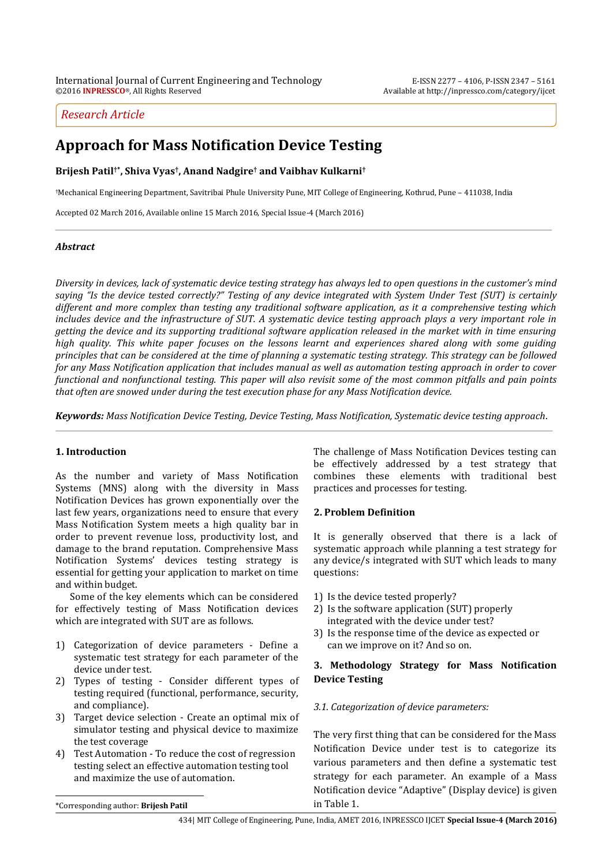# *Research Article*

# **Approach for Mass Notification Device Testing**

**Brijesh Patil†\* , Shiva Vyas† , Anand Nadgire† and Vaibhav Kulkarni†**

†Mechanical Engineering Department, Savitribai Phule University Pune, MIT College of Engineering, Kothrud, Pune – 411038, India

Accepted 02 March 2016, Available online 15 March 2016, Special Issue-4 (March 2016)

## *Abstract*

*Diversity in devices, lack of systematic device testing strategy has always led to open questions in the customer's mind saying "Is the device tested correctly?" Testing of any device integrated with System Under Test (SUT) is certainly different and more complex than testing any traditional software application, as it a comprehensive testing which includes device and the infrastructure of SUT. A systematic device testing approach plays a very important role in getting the device and its supporting traditional software application released in the market with in time ensuring high quality. This white paper focuses on the lessons learnt and experiences shared along with some guiding principles that can be considered at the time of planning a systematic testing strategy. This strategy can be followed for any Mass Notification application that includes manual as well as automation testing approach in order to cover functional and nonfunctional testing. This paper will also revisit some of the most common pitfalls and pain points that often are snowed under during the test execution phase for any Mass Notification device.*

*Keywords: Mass Notification Device Testing, Device Testing, Mass Notification, Systematic device testing approach*.

## **1. Introduction**

<sup>1</sup>As the number and variety of Mass Notification Systems (MNS) along with the diversity in Mass Notification Devices has grown exponentially over the last few years, organizations need to ensure that every Mass Notification System meets a high quality bar in order to prevent revenue loss, productivity lost, and damage to the brand reputation. Comprehensive Mass Notification Systems' devices testing strategy is essential for getting your application to market on time and within budget.

Some of the key elements which can be considered for effectively testing of Mass Notification devices which are integrated with SUT are as follows.

- 1) Categorization of device parameters Define a systematic test strategy for each parameter of the device under test.
- 2) Types of testing Consider different types of testing required (functional, performance, security, and compliance).
- 3) Target device selection Create an optimal mix of simulator testing and physical device to maximize the test coverage
- 4) Test Automation To reduce the cost of regression testing select an effective automation testing tool and maximize the use of automation.

The challenge of Mass Notification Devices testing can be effectively addressed by a test strategy that combines these elements with traditional best practices and processes for testing.

## **2. Problem Definition**

It is generally observed that there is a lack of systematic approach while planning a test strategy for any device/s integrated with SUT which leads to many questions:

- 1) Is the device tested properly?
- 2) Is the software application (SUT) properly integrated with the device under test?
- 3) Is the response time of the device as expected or can we improve on it? And so on.

## **3. Methodology Strategy for Mass Notification Device Testing**

#### *3.1. Categorization of device parameters:*

The very first thing that can be considered for the Mass Notification Device under test is to categorize its various parameters and then define a systematic test strategy for each parameter. An example of a Mass Notification device "Adaptive" (Display device) is given in Table 1.

\*Corresponding author: **Brijesh Patil**

 $\overline{a}$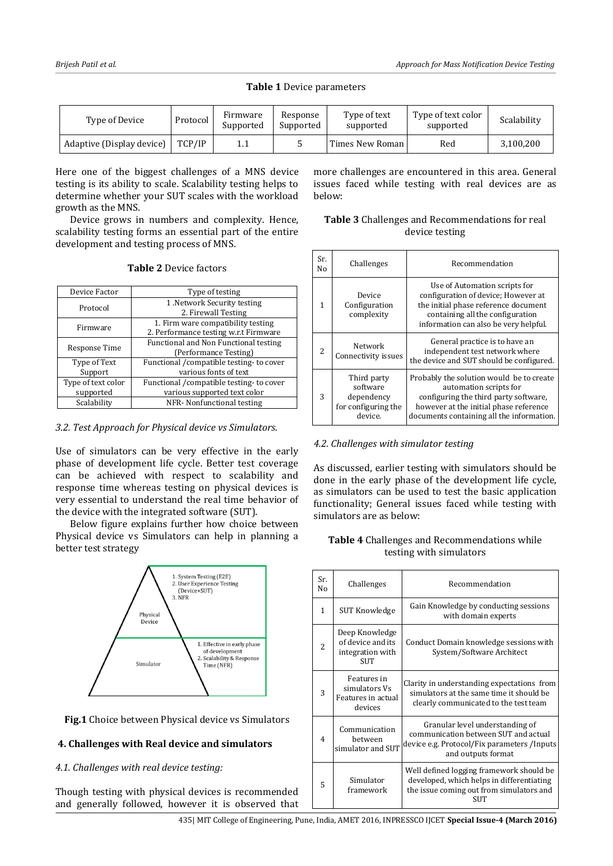### **Table 1** Device parameters

| Type of Device            | Protocol | Firmware<br>Supported | Response<br>Supported | Type of text<br>supported | Type of text color<br>supported | Scalability |
|---------------------------|----------|-----------------------|-----------------------|---------------------------|---------------------------------|-------------|
| Adaptive (Display device) | TCP/IP   | 1.1                   |                       | Times New Roman           | Red                             | 3,100,200   |

Here one of the biggest challenges of a MNS device testing is its ability to scale. Scalability testing helps to determine whether your SUT scales with the workload growth as the MNS.

Device grows in numbers and complexity. Hence, scalability testing forms an essential part of the entire development and testing process of MNS.

|  | <b>Table 2</b> Device factors |  |
|--|-------------------------------|--|
|  |                               |  |

| Device Factor      | Type of testing                         |  |  |  |
|--------------------|-----------------------------------------|--|--|--|
| Protocol           | 1. Network Security testing             |  |  |  |
|                    | 2. Firewall Testing                     |  |  |  |
| Firmware           | 1. Firm ware compatibility testing      |  |  |  |
|                    | 2. Performance testing w.r.t Firmware   |  |  |  |
|                    | Functional and Non Functional testing   |  |  |  |
| Response Time      | (Performance Testing)                   |  |  |  |
| Type of Text       | Functional /compatible testing-to cover |  |  |  |
| Support            | various fonts of text                   |  |  |  |
| Type of text color | Functional /compatible testing-to cover |  |  |  |
| supported          | various supported text color            |  |  |  |
| Scalability        | NFR-Nonfunctional testing               |  |  |  |
|                    |                                         |  |  |  |

#### *3.2. Test Approach for Physical device vs Simulators.*

Use of simulators can be very effective in the early phase of development life cycle. Better test coverage can be achieved with respect to scalability and response time whereas testing on physical devices is very essential to understand the real time behavior of the device with the integrated software (SUT).

Below figure explains further how choice between Physical device vs Simulators can help in planning a better test strategy



**Fig.1** Choice between Physical device vs Simulators

## **4. Challenges with Real device and simulators**

## *4.1. Challenges with real device testing:*

Though testing with physical devices is recommended and generally followed, however it is observed that more challenges are encountered in this area. General issues faced while testing with real devices are as below:

| Table 3 Challenges and Recommendations for real |
|-------------------------------------------------|
| device testing                                  |

| Sr.<br>Nο | Challenges                                                              | Recommendation                                                                                                                                                                                     |  |  |
|-----------|-------------------------------------------------------------------------|----------------------------------------------------------------------------------------------------------------------------------------------------------------------------------------------------|--|--|
| 1         | Device<br>Configuration<br>complexity                                   | Use of Automation scripts for<br>configuration of device; However at<br>the initial phase reference document<br>containing all the configuration<br>information can also be very helpful.          |  |  |
| 2         | Network<br>Connectivity issues                                          | General practice is to have an<br>independent test network where<br>the device and SUT should be configured.                                                                                       |  |  |
| 3         | Third party<br>software<br>dependency<br>for configuring the<br>device. | Probably the solution would be to create<br>automation scripts for<br>configuring the third party software,<br>however at the initial phase reference<br>documents containing all the information. |  |  |

## *4.2. Challenges with simulator testing*

As discussed, earlier testing with simulators should be done in the early phase of the development life cycle, as simulators can be used to test the basic application functionality; General issues faced while testing with simulators are as below:

## **Table 4** Challenges and Recommendations while testing with simulators

| Sr.<br>Nο                | Challenges                                                            | Recommendation                                                                                                                                  |  |  |
|--------------------------|-----------------------------------------------------------------------|-------------------------------------------------------------------------------------------------------------------------------------------------|--|--|
| 1                        | SUT Knowledge                                                         | Gain Knowledge by conducting sessions<br>with domain experts                                                                                    |  |  |
| $\overline{\mathcal{L}}$ | Deep Knowledge<br>of device and its<br>integration with<br><b>SUT</b> | Conduct Domain knowledge sessions with<br>System/Software Architect                                                                             |  |  |
| 3                        | Features in<br>simulators Vs<br>Features in actual<br>devices         | Clarity in understanding expectations from<br>simulators at the same time it should be<br>clearly communicated to the test team                 |  |  |
| $\overline{4}$           | Communication<br>hetween<br>simulator and SUT                         | Granular level understanding of<br>communication between SUT and actual<br>device e.g. Protocol/Fix parameters /Inputs<br>and outputs format    |  |  |
| 5                        | Simulator<br>framework                                                | Well defined logging framework should be<br>developed, which helps in differentiating<br>the issue coming out from simulators and<br><b>SUT</b> |  |  |

435| MIT College of Engineering, Pune, India, AMET 2016, INPRESSCO IJCET **Special Issue-4 (March 2016)**